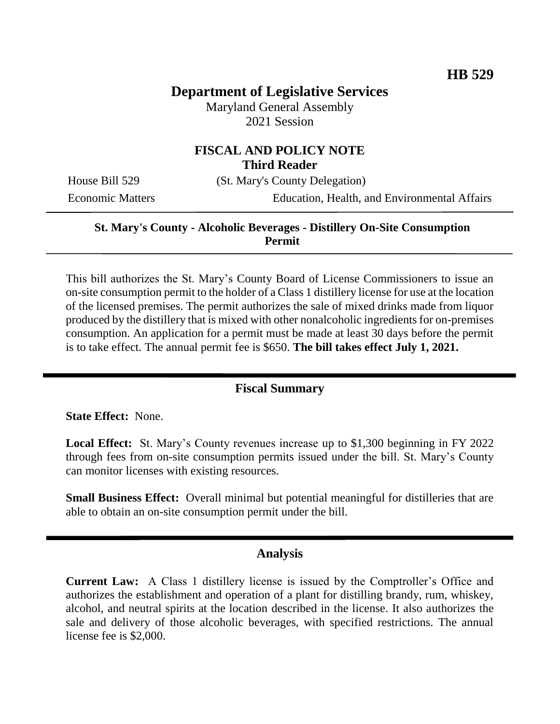# **Department of Legislative Services**

Maryland General Assembly 2021 Session

## **FISCAL AND POLICY NOTE Third Reader**

House Bill 529 (St. Mary's County Delegation)

Economic Matters Education, Health, and Environmental Affairs

### **St. Mary's County - Alcoholic Beverages - Distillery On-Site Consumption Permit**

This bill authorizes the St. Mary's County Board of License Commissioners to issue an on-site consumption permit to the holder of a Class 1 distillery license for use at the location of the licensed premises. The permit authorizes the sale of mixed drinks made from liquor produced by the distillery that is mixed with other nonalcoholic ingredients for on-premises consumption. An application for a permit must be made at least 30 days before the permit is to take effect. The annual permit fee is \$650. **The bill takes effect July 1, 2021.**

### **Fiscal Summary**

**State Effect:** None.

**Local Effect:** St. Mary's County revenues increase up to \$1,300 beginning in FY 2022 through fees from on-site consumption permits issued under the bill. St. Mary's County can monitor licenses with existing resources.

**Small Business Effect:** Overall minimal but potential meaningful for distilleries that are able to obtain an on-site consumption permit under the bill.

#### **Analysis**

**Current Law:** A Class 1 distillery license is issued by the Comptroller's Office and authorizes the establishment and operation of a plant for distilling brandy, rum, whiskey, alcohol, and neutral spirits at the location described in the license. It also authorizes the sale and delivery of those alcoholic beverages, with specified restrictions. The annual license fee is \$2,000.